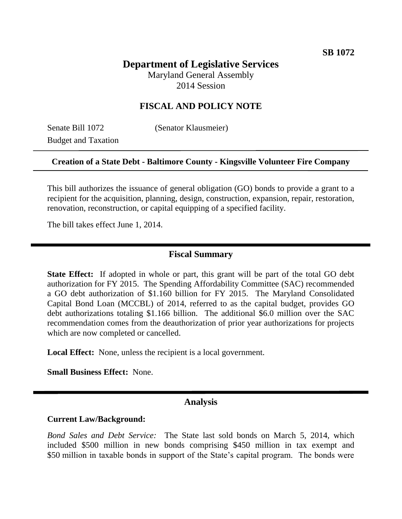# **Department of Legislative Services**

Maryland General Assembly 2014 Session

## **FISCAL AND POLICY NOTE**

Budget and Taxation

Senate Bill 1072 (Senator Klausmeier)

### **Creation of a State Debt - Baltimore County - Kingsville Volunteer Fire Company**

This bill authorizes the issuance of general obligation (GO) bonds to provide a grant to a recipient for the acquisition, planning, design, construction, expansion, repair, restoration, renovation, reconstruction, or capital equipping of a specified facility.

The bill takes effect June 1, 2014.

### **Fiscal Summary**

**State Effect:** If adopted in whole or part, this grant will be part of the total GO debt authorization for FY 2015. The Spending Affordability Committee (SAC) recommended a GO debt authorization of \$1.160 billion for FY 2015. The Maryland Consolidated Capital Bond Loan (MCCBL) of 2014, referred to as the capital budget, provides GO debt authorizations totaling \$1.166 billion. The additional \$6.0 million over the SAC recommendation comes from the deauthorization of prior year authorizations for projects which are now completed or cancelled.

**Local Effect:** None, unless the recipient is a local government.

**Small Business Effect:** None.

### **Analysis**

### **Current Law/Background:**

*Bond Sales and Debt Service:* The State last sold bonds on March 5, 2014, which included \$500 million in new bonds comprising \$450 million in tax exempt and \$50 million in taxable bonds in support of the State's capital program. The bonds were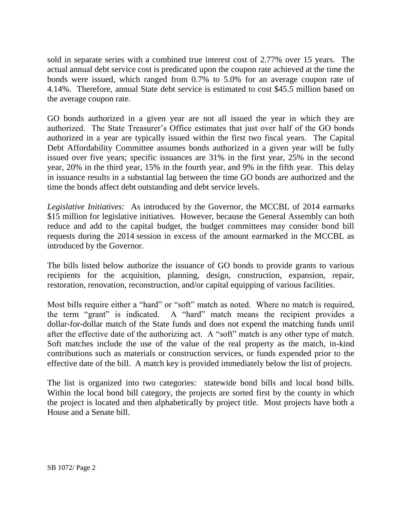sold in separate series with a combined true interest cost of 2.77% over 15 years. The actual annual debt service cost is predicated upon the coupon rate achieved at the time the bonds were issued, which ranged from 0.7% to 5.0% for an average coupon rate of 4.14%. Therefore, annual State debt service is estimated to cost \$45.5 million based on the average coupon rate.

GO bonds authorized in a given year are not all issued the year in which they are authorized. The State Treasurer's Office estimates that just over half of the GO bonds authorized in a year are typically issued within the first two fiscal years. The Capital Debt Affordability Committee assumes bonds authorized in a given year will be fully issued over five years; specific issuances are 31% in the first year, 25% in the second year, 20% in the third year, 15% in the fourth year, and 9% in the fifth year. This delay in issuance results in a substantial lag between the time GO bonds are authorized and the time the bonds affect debt outstanding and debt service levels.

*Legislative Initiatives:* As introduced by the Governor, the MCCBL of 2014 earmarks \$15 million for legislative initiatives. However, because the General Assembly can both reduce and add to the capital budget, the budget committees may consider bond bill requests during the 2014 session in excess of the amount earmarked in the MCCBL as introduced by the Governor.

The bills listed below authorize the issuance of GO bonds to provide grants to various recipients for the acquisition, planning, design, construction, expansion, repair, restoration, renovation, reconstruction, and/or capital equipping of various facilities.

Most bills require either a "hard" or "soft" match as noted. Where no match is required, the term "grant" is indicated. A "hard" match means the recipient provides a dollar-for-dollar match of the State funds and does not expend the matching funds until after the effective date of the authorizing act. A "soft" match is any other type of match. Soft matches include the use of the value of the real property as the match, in-kind contributions such as materials or construction services, or funds expended prior to the effective date of the bill. A match key is provided immediately below the list of projects.

The list is organized into two categories: statewide bond bills and local bond bills. Within the local bond bill category, the projects are sorted first by the county in which the project is located and then alphabetically by project title. Most projects have both a House and a Senate bill.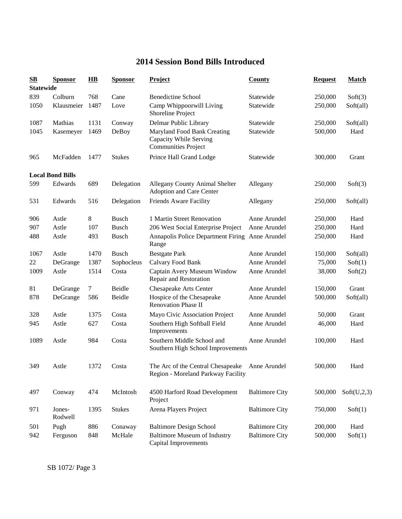## **2014 Session Bond Bills Introduced**

| $\mathbf{S}\mathbf{B}$ | <b>Sponsor</b>          | $\overline{\mathbf{H}}\mathbf{B}$ | <b>Sponsor</b> | <b>Project</b>                                                                      | County                | <b>Request</b> | <b>Match</b> |
|------------------------|-------------------------|-----------------------------------|----------------|-------------------------------------------------------------------------------------|-----------------------|----------------|--------------|
| <b>Statewide</b>       |                         |                                   |                |                                                                                     |                       |                |              |
| 839                    | Colburn                 | 768                               | Cane           | <b>Benedictine School</b>                                                           | Statewide             | 250,000        | Soft(3)      |
| 1050                   | Klausmeier              | 1487                              | Love           | Camp Whippoorwill Living<br>Shoreline Project                                       | Statewide             | 250,000        | Soft(all)    |
| 1087                   | Mathias                 | 1131                              | Conway         | Delmar Public Library                                                               | Statewide             | 250,000        | Soft(all)    |
| 1045                   | Kasemeyer               | 1469                              | DeBoy          | Maryland Food Bank Creating<br>Capacity While Serving<br><b>Communities Project</b> | Statewide             | 500,000        | Hard         |
| 965                    | McFadden                | 1477                              | <b>Stukes</b>  | Prince Hall Grand Lodge                                                             | Statewide             | 300,000        | Grant        |
|                        | <b>Local Bond Bills</b> |                                   |                |                                                                                     |                       |                |              |
| 599                    | Edwards                 | 689                               | Delegation     | Allegany County Animal Shelter<br>Adoption and Care Center                          | Allegany              | 250,000        | Soft(3)      |
| 531                    | Edwards                 | 516                               | Delegation     | Friends Aware Facility                                                              | Allegany              | 250,000        | Soft(all)    |
| 906                    | Astle                   | 8                                 | <b>Busch</b>   | 1 Martin Street Renovation                                                          | Anne Arundel          | 250,000        | Hard         |
| 907                    | Astle                   | 107                               | <b>Busch</b>   | 206 West Social Enterprise Project                                                  | Anne Arundel          | 250,000        | Hard         |
| 488                    | Astle                   | 493                               | <b>Busch</b>   | Annapolis Police Department Firing Anne Arundel<br>Range                            |                       | 250,000        | Hard         |
| 1067                   | Astle                   | 1470                              | <b>Busch</b>   | <b>Bestgate Park</b>                                                                | Anne Arundel          | 150,000        | Soft(all)    |
| 22                     | DeGrange                | 1387                              | Sophocleus     | Calvary Food Bank                                                                   | Anne Arundel          | 75,000         | Soft(1)      |
| 1009                   | Astle                   | 1514                              | Costa          | Captain Avery Museum Window<br>Repair and Restoration                               | Anne Arundel          | 38,000         | Soft(2)      |
| 81                     | DeGrange                | 7                                 | Beidle         | Chesapeake Arts Center                                                              | Anne Arundel          | 150,000        | Grant        |
| 878                    | DeGrange                | 586                               | Beidle         | Hospice of the Chesapeake<br><b>Renovation Phase II</b>                             | Anne Arundel          | 500,000        | Soft(all)    |
| 328                    | Astle                   | 1375                              | Costa          | Mayo Civic Association Project                                                      | Anne Arundel          | 50,000         | Grant        |
| 945                    | Astle                   | 627                               | Costa          | Southern High Softball Field<br>Improvements                                        | Anne Arundel          | 46,000         | Hard         |
| 1089                   | Astle                   | 984                               | Costa          | Southern Middle School and<br>Southern High School Improvements                     | Anne Arundel          | 100,000        | Hard         |
| 349                    | Astle                   | 1372                              | Costa          | The Arc of the Central Chesapeake<br>Region - Moreland Parkway Facility             | Anne Arundel          | 500,000        | Hard         |
| 497                    | Conway                  | 474                               | McIntosh       | 4500 Harford Road Development<br>Project                                            | <b>Baltimore City</b> | 500,000        | Soft(U,2,3)  |
| 971                    | Jones-<br>Rodwell       | 1395                              | <b>Stukes</b>  | Arena Players Project                                                               | <b>Baltimore City</b> | 750,000        | Soft(1)      |
| 501                    | Pugh                    | 886                               | Conaway        | <b>Baltimore Design School</b>                                                      | <b>Baltimore City</b> | 200,000        | Hard         |
| 942                    | Ferguson                | 848                               | McHale         | <b>Baltimore Museum of Industry</b><br><b>Capital Improvements</b>                  | <b>Baltimore City</b> | 500,000        | Soft(1)      |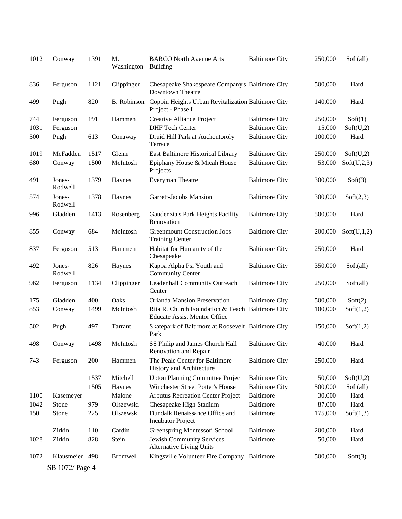| 1012 | Conway            | 1391 | M.<br>Washington   | <b>BARCO North Avenue Arts</b><br><b>Building</b>                                       | <b>Baltimore City</b> | 250,000 | Soft(all)   |
|------|-------------------|------|--------------------|-----------------------------------------------------------------------------------------|-----------------------|---------|-------------|
| 836  | Ferguson          | 1121 | Clippinger         | Chesapeake Shakespeare Company's Baltimore City<br>Downtown Theatre                     |                       | 500,000 | Hard        |
| 499  | Pugh              | 820  | <b>B.</b> Robinson | Coppin Heights Urban Revitalization Baltimore City<br>Project - Phase I                 |                       | 140,000 | Hard        |
| 744  | Ferguson          | 191  | Hammen             | Creative Alliance Project                                                               | <b>Baltimore City</b> | 250,000 | Soft(1)     |
| 1031 | Ferguson          |      |                    | <b>DHF Tech Center</b>                                                                  | <b>Baltimore City</b> | 15,000  | Soft(U,2)   |
| 500  | Pugh              | 613  | Conaway            | Druid Hill Park at Auchentoroly<br>Terrace                                              | <b>Baltimore City</b> | 100,000 | Hard        |
| 1019 | McFadden          | 1517 | Glenn              | East Baltimore Historical Library                                                       | <b>Baltimore City</b> | 250,000 | Soft(U,2)   |
| 680  | Conway            | 1500 | McIntosh           | Epiphany House & Micah House<br>Projects                                                | <b>Baltimore City</b> | 53,000  | Soft(U,2,3) |
| 491  | Jones-<br>Rodwell | 1379 | Haynes             | Everyman Theatre                                                                        | <b>Baltimore City</b> | 300,000 | Soft(3)     |
| 574  | Jones-<br>Rodwell | 1378 | Haynes             | Garrett-Jacobs Mansion                                                                  | <b>Baltimore City</b> | 300,000 | Soft(2,3)   |
| 996  | Gladden           | 1413 | Rosenberg          | Gaudenzia's Park Heights Facility<br>Renovation                                         | <b>Baltimore City</b> | 500,000 | Hard        |
| 855  | Conway            | 684  | McIntosh           | <b>Greenmount Construction Jobs</b><br><b>Training Center</b>                           | <b>Baltimore City</b> | 200,000 | Soft(U,1,2) |
| 837  | Ferguson          | 513  | Hammen             | Habitat for Humanity of the<br>Chesapeake                                               | <b>Baltimore City</b> | 250,000 | Hard        |
| 492  | Jones-<br>Rodwell | 826  | Haynes             | Kappa Alpha Psi Youth and<br><b>Community Center</b>                                    | <b>Baltimore City</b> | 350,000 | Soft(all)   |
| 962  | Ferguson          | 1134 | Clippinger         | Leadenhall Community Outreach<br>Center                                                 | <b>Baltimore City</b> | 250,000 | Soft(all)   |
| 175  | Gladden           | 400  | Oaks               | Orianda Mansion Preservation                                                            | <b>Baltimore City</b> | 500,000 | Soft(2)     |
| 853  | Conway            | 1499 | McIntosh           | Rita R. Church Foundation & Teach Baltimore City<br><b>Educate Assist Mentor Office</b> |                       | 100,000 | Soft(1,2)   |
| 502  | Pugh              | 497  | Tarrant            | Skatepark of Baltimore at Roosevelt Baltimore City<br>Park                              |                       | 150,000 | Soft(1,2)   |
| 498  | Conway            | 1498 | McIntosh           | SS Philip and James Church Hall<br>Renovation and Repair                                | <b>Baltimore City</b> | 40,000  | Hard        |
| 743  | Ferguson          | 200  | Hammen             | The Peale Center for Baltimore<br>History and Architecture                              | <b>Baltimore City</b> | 250,000 | Hard        |
|      |                   | 1537 | Mitchell           | <b>Upton Planning Committee Project</b>                                                 | <b>Baltimore City</b> | 50,000  | Soft(U,2)   |
|      |                   | 1505 | Haynes             | Winchester Street Potter's House                                                        | <b>Baltimore City</b> | 500,000 | Soft(all)   |
| 1100 | Kasemeyer         |      | Malone             | <b>Arbutus Recreation Center Project</b>                                                | <b>Baltimore</b>      | 30,000  | Hard        |
| 1042 | Stone             | 979  | Olszewski          | Chesapeake High Stadium                                                                 | <b>Baltimore</b>      | 87,000  | Hard        |
| 150  | Stone             | 225  | Olszewski          | Dundalk Renaissance Office and<br><b>Incubator Project</b>                              | <b>Baltimore</b>      | 175,000 | Soft(1,3)   |
|      | Zirkin            | 110  | Cardin             | Greenspring Montessori School                                                           | Baltimore             | 200,000 | Hard        |
| 1028 | Zirkin            | 828  | Stein              | Jewish Community Services<br>Alternative Living Units                                   | <b>Baltimore</b>      | 50,000  | Hard        |
| 1072 | Klausmeier 498    |      | <b>Bromwell</b>    | Kingsville Volunteer Fire Company Baltimore                                             |                       | 500,000 | Soft(3)     |
|      | SB 1072/ Page 4   |      |                    |                                                                                         |                       |         |             |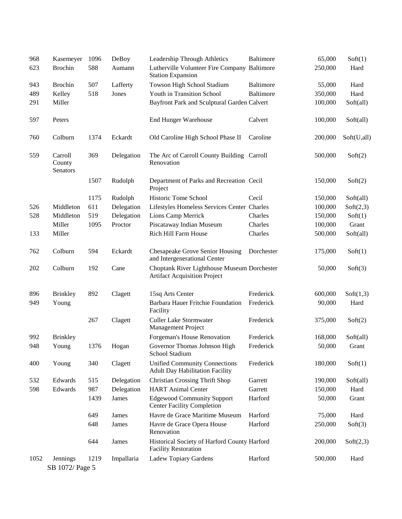| 968  | Kasemeyer                     | 1096 | DeBoy      | Leadership Through Athletics                                                       | Baltimore  | 65,000  | Soft(1)     |
|------|-------------------------------|------|------------|------------------------------------------------------------------------------------|------------|---------|-------------|
| 623  | <b>Brochin</b>                | 588  | Aumann     | Lutherville Volunteer Fire Company Baltimore<br><b>Station Expansion</b>           |            | 250,000 | Hard        |
| 943  | <b>Brochin</b>                | 507  | Lafferty   | Towson High School Stadium                                                         | Baltimore  | 55,000  | Hard        |
| 489  | Kelley                        | 518  | Jones      | Youth in Transition School                                                         | Baltimore  | 350,000 | Hard        |
| 291  | Miller                        |      |            | Bayfront Park and Sculptural Garden Calvert                                        |            | 100,000 | Soft(all)   |
| 597  | Peters                        |      |            | <b>End Hunger Warehouse</b>                                                        | Calvert    | 100,000 | Soft(all)   |
| 760  | Colburn                       | 1374 | Eckardt    | Old Caroline High School Phase II                                                  | Caroline   | 200,000 | Soft(U,all) |
| 559  | Carroll<br>County<br>Senators | 369  | Delegation | The Arc of Carroll County Building Carroll<br>Renovation                           |            | 500,000 | Soft(2)     |
|      |                               | 1507 | Rudolph    | Department of Parks and Recreation Cecil<br>Project                                |            | 150,000 | Soft(2)     |
|      |                               | 1175 | Rudolph    | Historic Tome School                                                               | Cecil      | 150,000 | Soft(all)   |
| 526  | Middleton                     | 611  | Delegation | Lifestyles Homeless Services Center Charles                                        |            | 100,000 | Soft(2,3)   |
| 528  | Middleton                     | 519  | Delegation | Lions Camp Merrick                                                                 | Charles    | 150,000 | Soft(1)     |
|      | Miller                        | 1095 | Proctor    | Piscataway Indian Museum                                                           | Charles    | 100,000 | Grant       |
| 133  | Miller                        |      |            | Rich Hill Farm House                                                               | Charles    | 500,000 | Soft(all)   |
| 762  | Colburn                       | 594  | Eckardt    | Chesapeake Grove Senior Housing<br>and Intergenerational Center                    | Dorchester | 175,000 | Soft(1)     |
| 202  | Colburn                       | 192  | Cane       | Choptank River Lighthouse Museum Dorchester<br><b>Artifact Acquisition Project</b> |            | 50,000  | Soft(3)     |
| 896  | <b>Brinkley</b>               | 892  | Clagett    | 15sq Arts Center                                                                   | Frederick  | 600,000 | Soft(1,3)   |
| 949  | Young                         |      |            | Barbara Hauer Fritchie Foundation<br>Facility                                      | Frederick  | 90,000  | Hard        |
|      |                               | 267  | Clagett    | <b>Culler Lake Stormwater</b><br>Management Project                                | Frederick  | 375,000 | Soft(2)     |
| 992  | <b>Brinkley</b>               |      |            | Forgeman's House Renovation                                                        | Frederick  | 168,000 | Soft(all)   |
| 948  | Young                         | 1376 | Hogan      | Governor Thomas Johnson High<br>School Stadium                                     | Frederick  | 50,000  | Grant       |
| 400  | Young                         | 340  | Clagett    | <b>Unified Community Connections</b><br><b>Adult Day Habilitation Facility</b>     | Frederick  | 180,000 | Soft(1)     |
| 532  | Edwards                       | 515  | Delegation | <b>Christian Crossing Thrift Shop</b>                                              | Garrett    | 190,000 | Soft(all)   |
| 598  | Edwards                       | 987  | Delegation | <b>HART</b> Animal Center                                                          | Garrett    | 150,000 | Hard        |
|      |                               | 1439 | James      | <b>Edgewood Community Support</b><br><b>Center Facility Completion</b>             | Harford    | 50,000  | Grant       |
|      |                               | 649  | James      | Havre de Grace Maritime Museum                                                     | Harford    | 75,000  | Hard        |
|      |                               | 648  | James      | Havre de Grace Opera House<br>Renovation                                           | Harford    | 250,000 | Soft(3)     |
|      |                               | 644  | James      | Historical Society of Harford County Harford<br><b>Facility Restoration</b>        |            | 200,000 | Soft(2,3)   |
| 1052 | Jennings                      | 1219 | Impallaria | Ladew Topiary Gardens                                                              | Harford    | 500,000 | Hard        |
|      | SB 1072/ Page 5               |      |            |                                                                                    |            |         |             |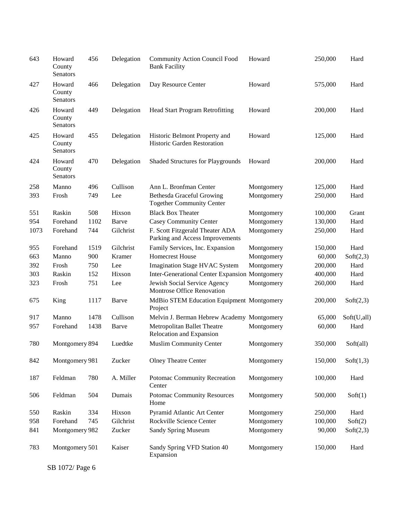| 643  | Howard<br>County<br>Senators | 456  | Delegation | <b>Community Action Council Food</b><br><b>Bank Facility</b>         | Howard     | 250,000 | Hard        |
|------|------------------------------|------|------------|----------------------------------------------------------------------|------------|---------|-------------|
| 427  | Howard<br>County<br>Senators | 466  | Delegation | Day Resource Center                                                  | Howard     | 575,000 | Hard        |
| 426  | Howard<br>County<br>Senators | 449  | Delegation | <b>Head Start Program Retrofitting</b>                               | Howard     | 200,000 | Hard        |
| 425  | Howard<br>County<br>Senators | 455  | Delegation | Historic Belmont Property and<br>Historic Garden Restoration         | Howard     | 125,000 | Hard        |
| 424  | Howard<br>County<br>Senators | 470  | Delegation | <b>Shaded Structures for Playgrounds</b>                             | Howard     | 200,000 | Hard        |
| 258  | Manno                        | 496  | Cullison   | Ann L. Bronfman Center                                               | Montgomery | 125,000 | Hard        |
| 393  | Frosh                        | 749  | Lee        | <b>Bethesda Graceful Growing</b><br><b>Together Community Center</b> | Montgomery | 250,000 | Hard        |
| 551  | Raskin                       | 508  | Hixson     | <b>Black Box Theater</b>                                             | Montgomery | 100,000 | Grant       |
| 954  | Forehand                     | 1102 | Barve      | <b>Casey Community Center</b>                                        | Montgomery | 130,000 | Hard        |
| 1073 | Forehand                     | 744  | Gilchrist  | F. Scott Fitzgerald Theater ADA<br>Parking and Access Improvements   | Montgomery | 250,000 | Hard        |
| 955  | Forehand                     | 1519 | Gilchrist  | Family Services, Inc. Expansion                                      | Montgomery | 150,000 | Hard        |
| 663  | Manno                        | 900  | Kramer     | <b>Homecrest House</b>                                               | Montgomery | 60,000  | Soft(2,3)   |
| 392  | Frosh                        | 750  | Lee        | <b>Imagination Stage HVAC System</b>                                 | Montgomery | 200,000 | Hard        |
| 303  | Raskin                       | 152  | Hixson     | <b>Inter-Generational Center Expansion Montgomery</b>                |            | 400,000 | Hard        |
| 323  | Frosh                        | 751  | Lee        | Jewish Social Service Agency<br>Montrose Office Renovation           | Montgomery | 260,000 | Hard        |
| 675  | King                         | 1117 | Barve      | MdBio STEM Education Equipment Montgomery<br>Project                 |            | 200,000 | Soft(2,3)   |
| 917  | Manno                        | 1478 | Cullison   | Melvin J. Berman Hebrew Academy Montgomery                           |            | 65,000  | Soft(U,all) |
| 957  | Forehand                     | 1438 | Barve      | Metropolitan Ballet Theatre<br>Relocation and Expansion              | Montgomery | 60,000  | Hard        |
| 780  | Montgomery 894               |      | Luedtke    | <b>Muslim Community Center</b>                                       | Montgomery | 350,000 | Soft(all)   |
| 842  | Montgomery 981               |      | Zucker     | <b>Olney Theatre Center</b>                                          | Montgomery | 150,000 | Soft(1,3)   |
| 187  | Feldman                      | 780  | A. Miller  | Potomac Community Recreation<br>Center                               | Montgomery | 100,000 | Hard        |
| 506  | Feldman                      | 504  | Dumais     | <b>Potomac Community Resources</b><br>Home                           | Montgomery | 500,000 | Soft(1)     |
| 550  | Raskin                       | 334  | Hixson     | Pyramid Atlantic Art Center                                          | Montgomery | 250,000 | Hard        |
| 958  | Forehand                     | 745  | Gilchrist  | Rockville Science Center                                             | Montgomery | 100,000 | Soft(2)     |
| 841  | Montgomery 982               |      | Zucker     | <b>Sandy Spring Museum</b>                                           | Montgomery | 90,000  | Soft(2,3)   |
| 783  | Montgomery 501               |      | Kaiser     | Sandy Spring VFD Station 40<br>Expansion                             | Montgomery | 150,000 | Hard        |

SB 1072/ Page 6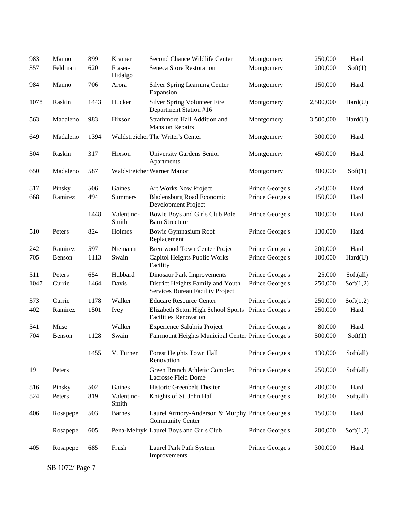| 983  | Manno    | 899  | Kramer              | Second Chance Wildlife Center                                              | Montgomery      | 250,000   | Hard      |
|------|----------|------|---------------------|----------------------------------------------------------------------------|-----------------|-----------|-----------|
| 357  | Feldman  | 620  | Fraser-<br>Hidalgo  | Seneca Store Restoration                                                   | Montgomery      | 200,000   | Soft(1)   |
| 984  | Manno    | 706  | Arora               | <b>Silver Spring Learning Center</b><br>Expansion                          | Montgomery      | 150,000   | Hard      |
| 1078 | Raskin   | 1443 | Hucker              | Silver Spring Volunteer Fire<br>Department Station #16                     | Montgomery      | 2,500,000 | Hard(U)   |
| 563  | Madaleno | 983  | Hixson              | Strathmore Hall Addition and<br><b>Mansion Repairs</b>                     | Montgomery      | 3,500,000 | Hard(U)   |
| 649  | Madaleno | 1394 |                     | Waldstreicher The Writer's Center                                          | Montgomery      | 300,000   | Hard      |
| 304  | Raskin   | 317  | Hixson              | University Gardens Senior<br>Apartments                                    | Montgomery      | 450,000   | Hard      |
| 650  | Madaleno | 587  |                     | Waldstreicher Warner Manor                                                 | Montgomery      | 400,000   | Soft(1)   |
| 517  | Pinsky   | 506  | Gaines              | Art Works Now Project                                                      | Prince George's | 250,000   | Hard      |
| 668  | Ramirez  | 494  | <b>Summers</b>      | <b>Bladensburg Road Economic</b><br>Development Project                    | Prince George's | 150,000   | Hard      |
|      |          | 1448 | Valentino-<br>Smith | Bowie Boys and Girls Club Pole<br><b>Barn Structure</b>                    | Prince George's | 100,000   | Hard      |
| 510  | Peters   | 824  | Holmes              | <b>Bowie Gymnasium Roof</b><br>Replacement                                 | Prince George's | 130,000   | Hard      |
| 242  | Ramirez  | 597  | Niemann             | <b>Brentwood Town Center Project</b>                                       | Prince George's | 200,000   | Hard      |
| 705  | Benson   | 1113 | Swain               | Capitol Heights Public Works<br>Facility                                   | Prince George's | 100,000   | Hard(U)   |
| 511  | Peters   | 654  | Hubbard             | <b>Dinosaur Park Improvements</b>                                          | Prince George's | 25,000    | Soft(all) |
| 1047 | Currie   | 1464 | Davis               | District Heights Family and Youth<br>Services Bureau Facility Project      | Prince George's | 250,000   | Soft(1,2) |
| 373  | Currie   | 1178 | Walker              | <b>Educare Resource Center</b>                                             | Prince George's | 250,000   | Soft(1,2) |
| 402  | Ramirez  | 1501 | <b>Ivey</b>         | Elizabeth Seton High School Sports<br><b>Facilities Renovation</b>         | Prince George's | 250,000   | Hard      |
| 541  | Muse     |      | Walker              | Experience Salubria Project                                                | Prince George's | 80,000    | Hard      |
| 704  | Benson   | 1128 | Swain               | Fairmount Heights Municipal Center Prince George's                         |                 | 500,000   | Soft(1)   |
|      |          | 1455 | V. Turner           | Forest Heights Town Hall<br>Renovation                                     | Prince George's | 130,000   | Soft(all) |
| 19   | Peters   |      |                     | Green Branch Athletic Complex<br>Lacrosse Field Dome                       | Prince George's | 250,000   | Soft(all) |
| 516  | Pinsky   | 502  | Gaines              | Historic Greenbelt Theater                                                 | Prince George's | 200,000   | Hard      |
| 524  | Peters   | 819  | Valentino-<br>Smith | Knights of St. John Hall                                                   | Prince George's | 60,000    | Soft(all) |
| 406  | Rosapepe | 503  | <b>Barnes</b>       | Laurel Armory-Anderson & Murphy Prince George's<br><b>Community Center</b> |                 | 150,000   | Hard      |
|      | Rosapepe | 605  |                     | Pena-Melnyk Laurel Boys and Girls Club                                     | Prince George's | 200,000   | Soft(1,2) |
| 405  | Rosapepe | 685  | Frush               | Laurel Park Path System<br>Improvements                                    | Prince George's | 300,000   | Hard      |

SB 1072/ Page 7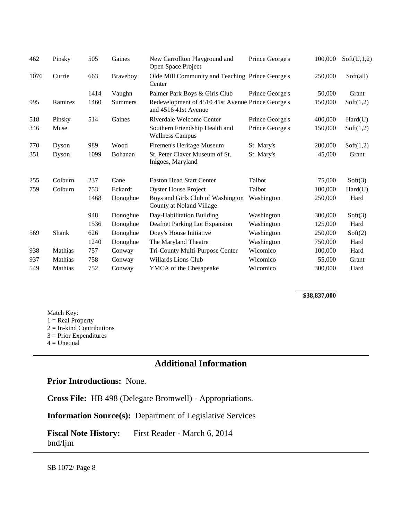| 462  | Pinsky  | 505  | Gaines          | New Carrollton Playground and<br>Open Space Project                       | Prince George's | 100,000 | Soft(U,1,2) |
|------|---------|------|-----------------|---------------------------------------------------------------------------|-----------------|---------|-------------|
| 1076 | Currie  | 663  | <b>Braveboy</b> | Olde Mill Community and Teaching Prince George's<br>Center                |                 | 250,000 | Soft(all)   |
|      |         | 1414 | Vaughn          | Palmer Park Boys & Girls Club                                             | Prince George's | 50,000  | Grant       |
| 995  | Ramirez | 1460 | <b>Summers</b>  | Redevelopment of 4510 41st Avenue Prince George's<br>and 4516 41st Avenue |                 | 150,000 | Soft(1,2)   |
| 518  | Pinsky  | 514  | Gaines          | Riverdale Welcome Center                                                  | Prince George's | 400,000 | Hard(U)     |
| 346  | Muse    |      |                 | Southern Friendship Health and<br><b>Wellness Campus</b>                  | Prince George's | 150,000 | Soft(1,2)   |
| 770  | Dyson   | 989  | Wood            | Firemen's Heritage Museum                                                 | St. Mary's      | 200,000 | Soft(1,2)   |
| 351  | Dyson   | 1099 | Bohanan         | St. Peter Claver Museum of St.<br>Inigoes, Maryland                       | St. Mary's      | 45,000  | Grant       |
| 255  | Colburn | 237  | Cane            | <b>Easton Head Start Center</b>                                           | Talbot          | 75,000  | Soft(3)     |
| 759  | Colburn | 753  | Eckardt         | <b>Oyster House Project</b>                                               | Talbot          | 100,000 | Hard(U)     |
|      |         | 1468 | Donoghue        | Boys and Girls Club of Washington<br>County at Noland Village             | Washington      | 250,000 | Hard        |
|      |         | 948  | Donoghue        | Day-Habilitation Building                                                 | Washington      | 300,000 | Soft(3)     |
|      |         | 1536 | Donoghue        | Deafnet Parking Lot Expansion                                             | Washington      | 125,000 | Hard        |
| 569  | Shank   | 626  | Donoghue        | Doey's House Initiative                                                   | Washington      | 250,000 | Soft(2)     |
|      |         | 1240 | Donoghue        | The Maryland Theatre                                                      | Washington      | 750,000 | Hard        |
| 938  | Mathias | 757  | Conway          | Tri-County Multi-Purpose Center                                           | Wicomico        | 100,000 | Hard        |
| 937  | Mathias | 758  | Conway          | Willards Lions Club                                                       | Wicomico        | 55,000  | Grant       |
| 549  | Mathias | 752  | Conway          | <b>YMCA</b> of the Chesapeake                                             | Wicomico        | 300,000 | Hard        |

#### **\$38,837,000**

Match Key:  $1 = Real Property$  $2 = In$ -kind Contributions 3 = Prior Expenditures  $4 =$  Unequal

## **Additional Information**

## **Prior Introductions:** None.

**Cross File:** HB 498 (Delegate Bromwell) - Appropriations.

**Information Source(s):** Department of Legislative Services

**Fiscal Note History:** First Reader - March 6, 2014 bnd/ljm